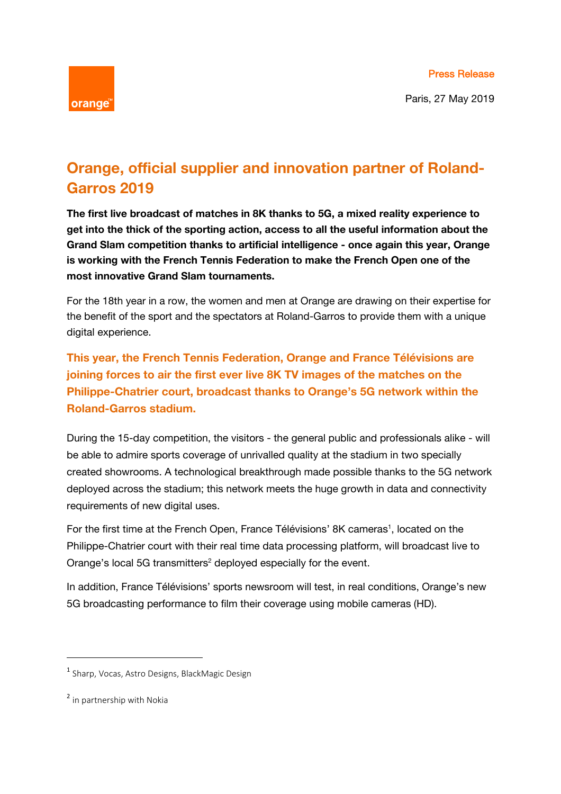

Paris, 27 May 2019

## **Orange, official supplier and innovation partner of Roland-Garros 2019**

**The first live broadcast of matches in 8K thanks to 5G, a mixed reality experience to get into the thick of the sporting action, access to all the useful information about the Grand Slam competition thanks to artificial intelligence - once again this year, Orange is working with the French Tennis Federation to make the French Open one of the most innovative Grand Slam tournaments.** 

For the 18th year in a row, the women and men at Orange are drawing on their expertise for the benefit of the sport and the spectators at Roland-Garros to provide them with a unique digital experience.

**This year, the French Tennis Federation, Orange and France Télévisions are joining forces to air the first ever live 8K TV images of the matches on the Philippe-Chatrier court, broadcast thanks to Orange's 5G network within the Roland-Garros stadium.**

During the 15-day competition, the visitors - the general public and professionals alike - will be able to admire sports coverage of unrivalled quality at the stadium in two specially created showrooms. A technological breakthrough made possible thanks to the 5G network deployed across the stadium; this network meets the huge growth in data and connectivity requirements of new digital uses.

For the first time at the French Open, France Télévisions' 8K cameras<sup>1</sup>, located on the Philippe-Chatrier court with their real time data processing platform, will broadcast live to Orange's local 5G transmitters<sup>2</sup> deployed especially for the event.

In addition, France Télévisions' sports newsroom will test, in real conditions, Orange's new 5G broadcasting performance to film their coverage using mobile cameras (HD).

<sup>&</sup>lt;sup>1</sup> Sharp, Vocas, Astro Designs, BlackMagic Design

<sup>2</sup> in partnership with Nokia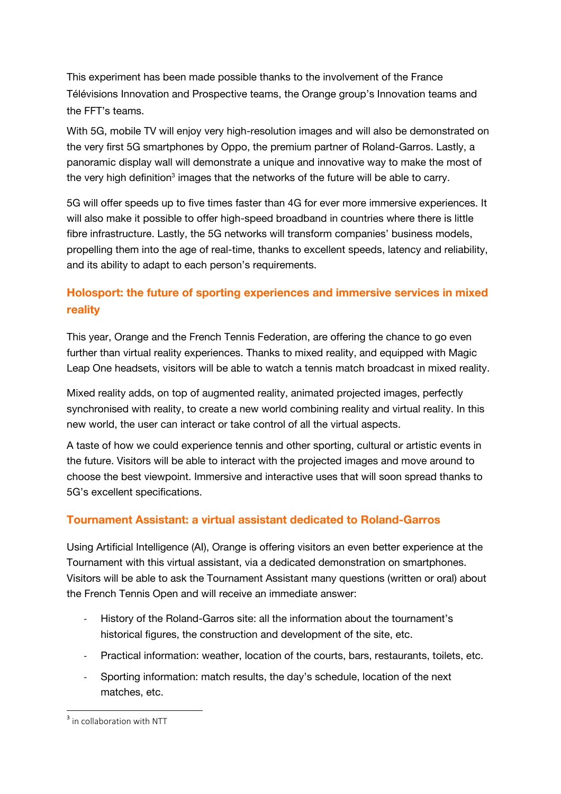This experiment has been made possible thanks to the involvement of the France Télévisions Innovation and Prospective teams, the Orange group's Innovation teams and the FFT's teams.

With 5G, mobile TV will enjoy very high-resolution images and will also be demonstrated on the very first 5G smartphones by Oppo, the premium partner of Roland-Garros. Lastly, a panoramic display wall will demonstrate a unique and innovative way to make the most of the very high definition<sup>3</sup> images that the networks of the future will be able to carry.

5G will offer speeds up to five times faster than 4G for ever more immersive experiences. It will also make it possible to offer high-speed broadband in countries where there is little fibre infrastructure. Lastly, the 5G networks will transform companies' business models, propelling them into the age of real-time, thanks to excellent speeds, latency and reliability, and its ability to adapt to each person's requirements.

## **Holosport: the future of sporting experiences and immersive services in mixed reality**

This year, Orange and the French Tennis Federation, are offering the chance to go even further than virtual reality experiences. Thanks to mixed reality, and equipped with Magic Leap One headsets, visitors will be able to watch a tennis match broadcast in mixed reality.

Mixed reality adds, on top of augmented reality, animated projected images, perfectly synchronised with reality, to create a new world combining reality and virtual reality. In this new world, the user can interact or take control of all the virtual aspects.

A taste of how we could experience tennis and other sporting, cultural or artistic events in the future. Visitors will be able to interact with the projected images and move around to choose the best viewpoint. Immersive and interactive uses that will soon spread thanks to 5G's excellent specifications.

## **Tournament Assistant: a virtual assistant dedicated to Roland-Garros**

Using Artificial Intelligence (AI), Orange is offering visitors an even better experience at the Tournament with this virtual assistant, via a dedicated demonstration on smartphones. Visitors will be able to ask the Tournament Assistant many questions (written or oral) about the French Tennis Open and will receive an immediate answer:

- ‐ History of the Roland-Garros site: all the information about the tournament's historical figures, the construction and development of the site, etc.
- ‐ Practical information: weather, location of the courts, bars, restaurants, toilets, etc.
- ‐ Sporting information: match results, the day's schedule, location of the next matches, etc.

  $3$  in collaboration with NTT